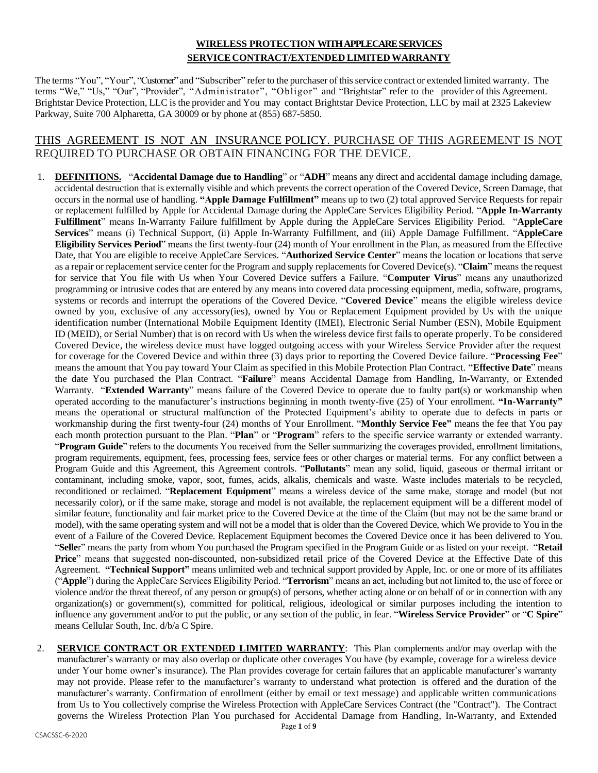# **WIRELESS PROTECTION WITH APPLECARE SERVICES SERVICE CONTRACT/EXTENDED LIMITEDWARRANTY**

The terms "You", "Your", "Customer" and "Subscriber" refer to the purchaser of thisservice contract or extended limited warranty. The terms "We," "Us," "Our", "Provider", "Administrator", "Obligor" and "Brightstar" refer to the provider of this Agreement. Brightstar Device Protection, LLC is the provider and You may contact Brightstar Device Protection, LLC by mail at 2325 Lakeview Parkway, Suite 700 Alpharetta, GA 30009 or by phone at (855) 687-5850.

# THIS AGREEMENT IS NOT AN INSURANCE POLICY. PURCHASE OF THIS AGREEMENT IS NOT REQUIRED TO PURCHASE OR OBTAIN FINANCING FOR THE DEVICE.

- 1. **DEFINITIONS.** "**Accidental Damage due to Handling**" or "**ADH**" means any direct and accidental damage including damage, accidental destruction that is externally visible and which prevents the correct operation of the Covered Device, Screen Damage, that occurs in the normal use of handling. **"Apple Damage Fulfillment"** means up to two (2) total approved Service Requests for repair or replacement fulfilled by Apple for Accidental Damage during the AppleCare Services Eligibility Period. "**Apple In-Warranty Fulfillment**" means In-Warranty Failure fulfillment by Apple during the AppleCare Services Eligibility Period. "**AppleCare Services**" means (i) Technical Support, (ii) Apple In-Warranty Fulfillment, and (iii) Apple Damage Fulfillment. "**AppleCare Eligibility Services Period**" means the first twenty-four (24) month of Your enrollment in the Plan, as measured from the Effective Date, that You are eligible to receive AppleCare Services. "**Authorized Service Center**" means the location or locations that serve as a repair or replacement service center for the Program and supply replacements for Covered Device(s). "**Claim**" means the request for service that You file with Us when Your Covered Device suffers a Failure. "**Computer Virus**" means any unauthorized programming or intrusive codes that are entered by any means into covered data processing equipment, media, software, programs, systems or records and interrupt the operations of the Covered Device. "**Covered Device**" means the eligible wireless device owned by you, exclusive of any accessory(ies), owned by You or Replacement Equipment provided by Us with the unique identification number (International Mobile Equipment Identity (IMEI), Electronic Serial Number (ESN), Mobile Equipment ID (MEID), or Serial Number) that is on record with Us when the wireless device first fails to operate properly. To be considered Covered Device, the wireless device must have logged outgoing access with your Wireless Service Provider after the request for coverage for the Covered Device and within three (3) days prior to reporting the Covered Device failure. "**Processing Fee**" means the amount that You pay toward Your Claim as specified in this Mobile Protection Plan Contract. "**Effective Date**" means the date You purchased the Plan Contract. "**Failure**" means Accidental Damage from Handling, In-Warranty, or Extended Warranty. "**Extended Warranty**" means failure of the Covered Device to operate due to faulty part(s) or workmanship when operated according to the manufacturer's instructions beginning in month twenty-five (25) of Your enrollment. **"In-Warranty"** means the operational or structural malfunction of the Protected Equipment's ability to operate due to defects in parts or workmanship during the first twenty-four (24) months of Your Enrollment. "**Monthly Service Fee"** means the fee that You pay each month protection pursuant to the Plan. "**Plan**" or "**Program**" refers to the specific service warranty or extended warranty. "**Program Guide**" refers to the documents You received from the Seller summarizing the coverages provided, enrollment limitations, program requirements, equipment, fees, processing fees, service fees or other charges or material terms. For any conflict between a Program Guide and this Agreement, this Agreement controls. "**Pollutants**" mean any solid, liquid, gaseous or thermal irritant or contaminant, including smoke, vapor, soot, fumes, acids, alkalis, chemicals and waste. Waste includes materials to be recycled, reconditioned or reclaimed. "**Replacement Equipment**" means a wireless device of the same make, storage and model (but not necessarily color), or if the same make, storage and model is not available, the replacement equipment will be a different model of similar feature, functionality and fair market price to the Covered Device at the time of the Claim (but may not be the same brand or model), with the same operating system and will not be a model that is older than the Covered Device, which We provide to You in the event of a Failure of the Covered Device. Replacement Equipment becomes the Covered Device once it has been delivered to You. "**Selle**r" means the party from whom You purchased the Program specified in the Program Guide or as listed on your receipt. "**Retail Price**" means that suggested non-discounted, non-subsidized retail price of the Covered Device at the Effective Date of this Agreement. **"Technical Support"** means unlimited web and technical support provided by Apple, Inc. or one or more of its affiliates ("**Apple**") during the AppleCare Services Eligibility Period. "**Terrorism**" means an act, including but not limited to, the use of force or violence and/or the threat thereof, of any person or group(s) of persons, whether acting alone or on behalf of or in connection with any organization(s) or government(s), committed for political, religious, ideological or similar purposes including the intention to influence any government and/or to put the public, or any section of the public, in fear. "**Wireless Service Provider**" or "**C Spire**" means Cellular South, Inc. d/b/a C Spire.
- 2. **SERVICE CONTRACT OR EXTENDED LIMITED WARRANTY**: This Plan complements and/or may overlap with the manufacturer's warranty or may also overlap or duplicate other coverages You have (by example, coverage for a wireless device under Your home owner's insurance). The Plan provides coverage for certain failures that an applicable manufacturer's warranty may not provide. Please refer to the manufacturer's warranty to understand what protection is offered and the duration of the manufacturer's warranty. Confirmation of enrollment (either by email or text message) and applicable written communications from Us to You collectively comprise the Wireless Protection with AppleCare Services Contract (the "Contract"). The Contract governs the Wireless Protection Plan You purchased for Accidental Damage from Handling, In-Warranty, and Extended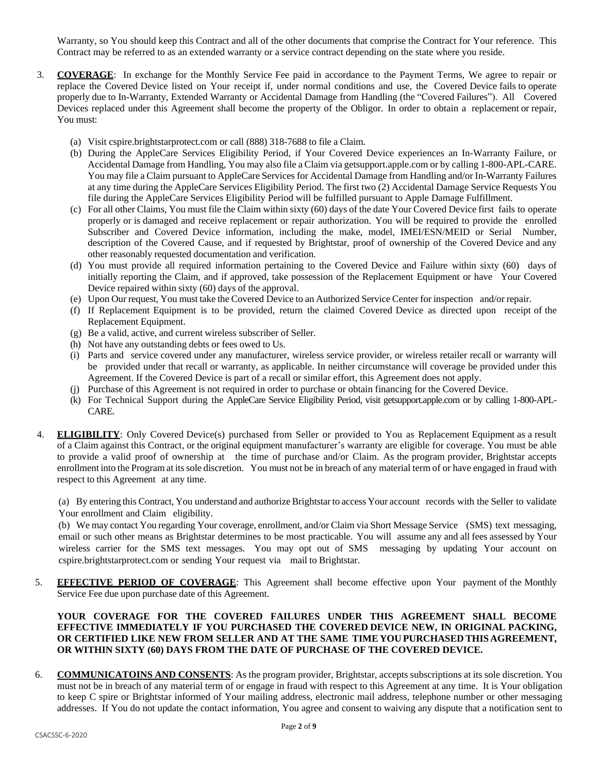Warranty, so You should keep this Contract and all of the other documents that comprise the Contract for Your reference. This Contract may be referred to as an extended warranty or a service contract depending on the state where you reside.

- 3. **COVERAGE**: In exchange for the Monthly Service Fee paid in accordance to the Payment Terms, We agree to repair or replace the Covered Device listed on Your receipt if, under normal conditions and use, the Covered Device fails to operate properly due to In-Warranty, Extended Warranty or Accidental Damage from Handling (the "Covered Failures"). All Covered Devices replaced under this Agreement shall become the property of the Obligor. In order to obtain a replacement or repair, You must:
	- (a) Visit cspire.brightstarprotect.com or call (888) 318-7688 to file a Claim.
	- (b) During the AppleCare Services Eligibility Period, if Your Covered Device experiences an In-Warranty Failure, or Accidental Damage from Handling, You may also file a Claim via getsupport.apple.com or by calling 1-800-APL-CARE. You may file a Claim pursuant to AppleCare Services for Accidental Damage from Handling and/or In-Warranty Failures at any time during the AppleCare Services Eligibility Period. The first two (2) Accidental Damage Service Requests You file during the AppleCare Services Eligibility Period will be fulfilled pursuant to Apple Damage Fulfillment.
	- (c) For all other Claims, You must file the Claim within sixty (60) days of the date Your Covered Device first fails to operate properly or is damaged and receive replacement or repair authorization. You will be required to provide the enrolled Subscriber and Covered Device information, including the make, model, IMEI/ESN/MEID or Serial Number, description of the Covered Cause, and if requested by Brightstar, proof of ownership of the Covered Device and any other reasonably requested documentation and verification.
	- (d) You must provide all required information pertaining to the Covered Device and Failure within sixty (60) days of initially reporting the Claim, and if approved, take possession of the Replacement Equipment or have Your Covered Device repaired within sixty (60) days of the approval.
	- (e) Upon Our request, You must take the Covered Device to an Authorized Service Center for inspection and/or repair.
	- (f) If Replacement Equipment is to be provided, return the claimed Covered Device as directed upon receipt of the Replacement Equipment.
	- (g) Be a valid, active, and current wireless subscriber of Seller.
	- (h) Not have any outstanding debts or fees owed to Us.
	- (i) Parts and service covered under any manufacturer, wireless service provider, or wireless retailer recall or warranty will be provided under that recall or warranty, as applicable. In neither circumstance will coverage be provided under this Agreement. If the Covered Device is part of a recall or similar effort, this Agreement does not apply.
	- (j) Purchase of this Agreement is not required in order to purchase or obtain financing for the Covered Device.
	- (k) For Technical Support during the AppleCare Service Eligibility Period, visit getsupport.apple.com or by calling 1-800-APL-CARE.
- 4. **ELIGIBILITY**: Only Covered Device(s) purchased from Seller or provided to You as Replacement Equipment as a result of a Claim against this Contract, or the original equipment manufacturer's warranty are eligible for coverage. You must be able to provide a valid proof of ownership at the time of purchase and/or Claim. As the program provider, Brightstar accepts enrollment into the Program at itssole discretion. You must not be in breach of any material term of or have engaged in fraud with respect to this Agreement at any time.

(a) By entering this Contract, You understand and authorize Brightstar to access Your account records with the Seller to validate Your enrollment and Claim eligibility.

(b) We may contact You regarding Your coverage, enrollment, and/or Claim via Short Message Service (SMS) text messaging, email or such other means as Brightstar determines to be most practicable. You will assume any and all fees assessed by Your wireless carrier for the SMS text messages. You may opt out of SMS messaging by updating Your account on cspire.brightstarprotect.com or sending Your request via mail to Brightstar.

5. **EFFECTIVE PERIOD OF COVERAGE**: This Agreement shall become effective upon Your payment of the Monthly Service Fee due upon purchase date of this Agreement.

### **YOUR COVERAGE FOR THE COVERED FAILURES UNDER THIS AGREEMENT SHALL BECOME EFFECTIVE IMMEDIATELY IF YOU PURCHASED THE COVERED DEVICE NEW, IN ORIGINAL PACKING, OR CERTIFIED LIKE NEW FROM SELLER AND AT THE SAME TIME YOU PURCHASED THIS AGREEMENT, OR WITHIN SIXTY (60) DAYS FROM THE DATE OF PURCHASE OF THE COVERED DEVICE.**

6. **COMMUNICATOINS AND CONSENTS**: As the program provider, Brightstar, accepts subscriptions at its sole discretion. You must not be in breach of any material term of or engage in fraud with respect to this Agreement at any time. It is Your obligation to keep C spire or Brightstar informed of Your mailing address, electronic mail address, telephone number or other messaging addresses. If You do not update the contact information, You agree and consent to waiving any dispute that a notification sent to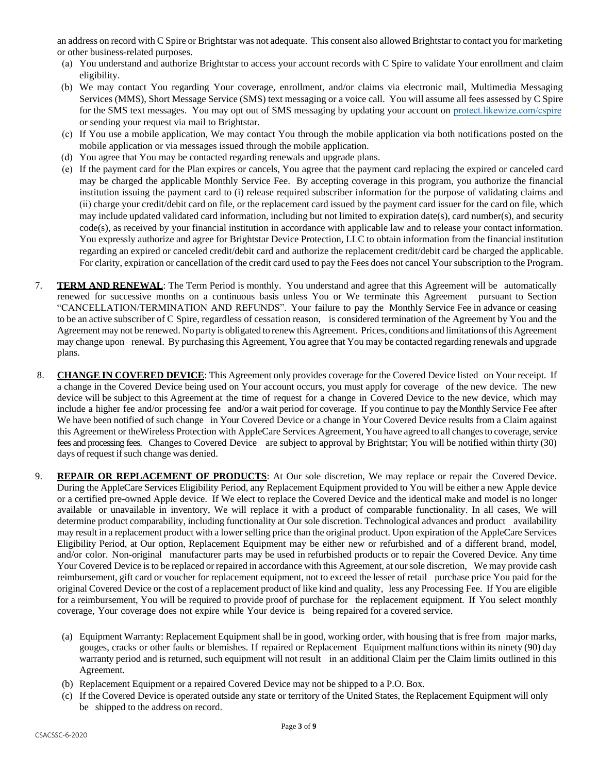an address on record with C Spire or Brightstar was not adequate. This consent also allowed Brightstar to contact you for marketing or other business-related purposes.

- (a) You understand and authorize Brightstar to access your account records with C Spire to validate Your enrollment and claim eligibility.
- (b) We may contact You regarding Your coverage, enrollment, and/or claims via electronic mail, Multimedia Messaging Services (MMS), Short Message Service (SMS) text messaging or a voice call. You will assume all fees assessed by C Spire for the SMS text messages. You may opt out of SMS messaging by updating your account on [protect.likewize.com/cspire](https://protect.likewize.com/cspire)  or sending your request via mail to Brightstar.
- (c) If You use a mobile application, We may contact You through the mobile application via both notifications posted on the mobile application or via messages issued through the mobile application.
- (d) You agree that You may be contacted regarding renewals and upgrade plans.
- (e) If the payment card for the Plan expires or cancels, You agree that the payment card replacing the expired or canceled card may be charged the applicable Monthly Service Fee. By accepting coverage in this program, you authorize the financial institution issuing the payment card to (i) release required subscriber information for the purpose of validating claims and (ii) charge your credit/debit card on file, or the replacement card issued by the payment card issuer for the card on file, which may include updated validated card information, including but not limited to expiration date(s), card number(s), and security code(s), as received by your financial institution in accordance with applicable law and to release your contact information. You expressly authorize and agree for Brightstar Device Protection, LLC to obtain information from the financial institution regarding an expired or canceled credit/debit card and authorize the replacement credit/debit card be charged the applicable. For clarity, expiration or cancellation of the credit card used to pay the Fees does not cancel Your subscription to the Program.
- 7. **TERM AND RENEWAL**: The Term Period is monthly. You understand and agree that this Agreement will be automatically renewed for successive months on a continuous basis unless You or We terminate this Agreement pursuant to Section "CANCELLATION/TERMINATION AND REFUNDS". Your failure to pay the Monthly Service Fee in advance or ceasing to be an active subscriber of C Spire, regardless of cessation reason, is considered termination of the Agreement by You and the Agreement may not be renewed. No party is obligated to renew this Agreement. Prices, conditions and limitations ofthis Agreement may change upon renewal. By purchasing this Agreement, You agree that You may be contacted regarding renewals and upgrade plans.
- 8. **CHANGE IN COVERED DEVICE**: This Agreement only provides coverage for the Covered Device listed on Your receipt. If a change in the Covered Device being used on Your account occurs, you must apply for coverage of the new device. The new device will be subject to this Agreement at the time of request for a change in Covered Device to the new device, which may include a higher fee and/or processing fee and/or a wait period for coverage. If you continue to pay the Monthly Service Fee after We have been notified of such change in Your Covered Device or a change in Your Covered Device results from a Claim against this Agreement or theWireless Protection with AppleCare Services Agreement, You have agreed to all changes to coverage, service fees and processing fees. Changes to Covered Device are subject to approval by Brightstar; You will be notified within thirty (30) days of request if such change was denied.
- 9. **REPAIR OR REPLACEMENT OF PRODUCTS**: At Our sole discretion, We may replace or repair the Covered Device. During the AppleCare Services Eligibility Period, any Replacement Equipment provided to You will be either a new Apple device or a certified pre-owned Apple device. If We elect to replace the Covered Device and the identical make and model is no longer available or unavailable in inventory, We will replace it with a product of comparable functionality. In all cases, We will determine product comparability, including functionality at Our sole discretion. Technological advances and product availability may result in a replacement product with a lower selling price than the original product. Upon expiration of the AppleCare Services Eligibility Period, at Our option, Replacement Equipment may be either new or refurbished and of a different brand, model, and/or color. Non-original manufacturer parts may be used in refurbished products or to repair the Covered Device. Any time Your Covered Device is to be replaced or repaired in accordance with this Agreement, at our sole discretion, We may provide cash reimbursement, gift card or voucher for replacement equipment, not to exceed the lesser of retail purchase price You paid for the original Covered Device or the cost of a replacement product of like kind and quality, less any Processing Fee. If You are eligible for a reimbursement, You will be required to provide proof of purchase for the replacement equipment. If You select monthly coverage, Your coverage does not expire while Your device is being repaired for a covered service.
	- (a) Equipment Warranty: Replacement Equipment shall be in good, working order, with housing that is free from major marks, gouges, cracks or other faults or blemishes. If repaired or Replacement Equipment malfunctions within its ninety (90) day warranty period and is returned, such equipment will not result in an additional Claim per the Claim limits outlined in this Agreement.
	- (b) Replacement Equipment or a repaired Covered Device may not be shipped to a P.O. Box.
	- (c) If the Covered Device is operated outside any state or territory of the United States, the Replacement Equipment will only be shipped to the address on record.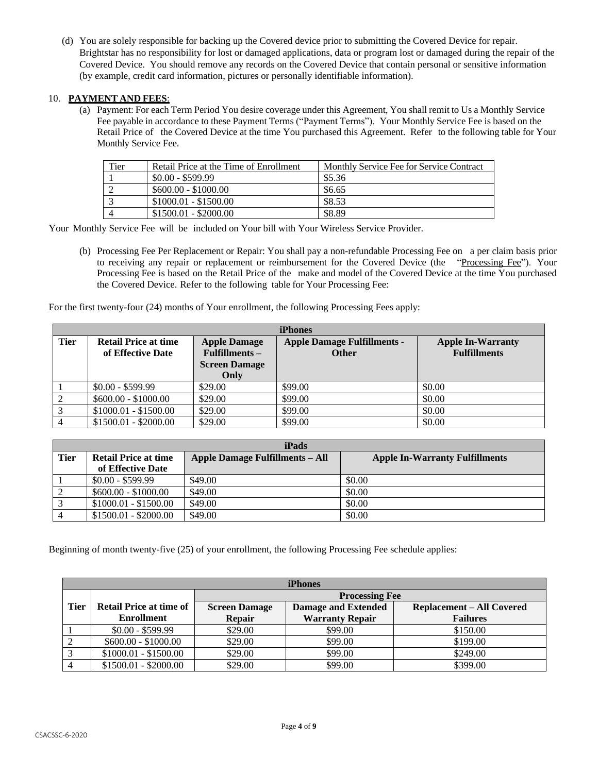(d) You are solely responsible for backing up the Covered device prior to submitting the Covered Device for repair. Brightstar has no responsibility for lost or damaged applications, data or program lost or damaged during the repair of the Covered Device. You should remove any records on the Covered Device that contain personal or sensitive information (by example, credit card information, pictures or personally identifiable information).

## 10. **PAYMENT AND FEES**:

(a) Payment: For each Term Period You desire coverage under this Agreement, You shall remit to Us a Monthly Service Fee payable in accordance to these Payment Terms ("Payment Terms"). Your Monthly Service Fee is based on the Retail Price of the Covered Device at the time You purchased this Agreement. Refer to the following table for Your Monthly Service Fee.

| Tier | Retail Price at the Time of Enrollment | Monthly Service Fee for Service Contract |
|------|----------------------------------------|------------------------------------------|
|      | $$0.00 - $599.99$                      | \$5.36                                   |
|      | $$600.00 - $1000.00$                   | \$6.65                                   |
|      | $$1000.01 - $1500.00$                  | \$8.53                                   |
|      | $$1500.01 - $2000.00$                  | \$8.89                                   |

Your Monthly Service Fee will be included on Your bill with Your Wireless Service Provider.

(b) Processing Fee Per Replacement or Repair: You shall pay a non-refundable Processing Fee on a per claim basis prior to receiving any repair or replacement or reimbursement for the Covered Device (the "Processing Fee"). Your Processing Fee is based on the Retail Price of the make and model of the Covered Device at the time You purchased the Covered Device. Refer to the following table for Your Processing Fee:

For the first twenty-four (24) months of Your enrollment, the following Processing Fees apply:

| <b>iPhones</b> |                                                  |                                         |                                                    |                                                 |
|----------------|--------------------------------------------------|-----------------------------------------|----------------------------------------------------|-------------------------------------------------|
| <b>Tier</b>    | <b>Retail Price at time</b><br>of Effective Date | <b>Apple Damage</b><br>$Fullfilments -$ | <b>Apple Damage Fulfillments -</b><br><b>Other</b> | <b>Apple In-Warranty</b><br><b>Fulfillments</b> |
|                |                                                  | <b>Screen Damage</b>                    |                                                    |                                                 |
|                |                                                  | Only                                    |                                                    |                                                 |
|                | $$0.00 - $599.99$                                | \$29.00                                 | \$99.00                                            | \$0.00                                          |
|                | $$600.00 - $1000.00$                             | \$29.00                                 | \$99.00                                            | \$0.00                                          |
|                | $$1000.01 - $1500.00$                            | \$29.00                                 | \$99.00                                            | \$0.00                                          |
|                | $$1500.01 - $2000.00$                            | \$29.00                                 | \$99.00                                            | \$0.00                                          |

| iPads          |                       |                                 |                                       |  |
|----------------|-----------------------|---------------------------------|---------------------------------------|--|
| <b>Tier</b>    | Retail Price at time  | Apple Damage Fulfillments – All | <b>Apple In-Warranty Fulfillments</b> |  |
|                | of Effective Date     |                                 |                                       |  |
|                | $$0.00 - $599.99$     | \$49.00                         | \$0.00                                |  |
| $\overline{2}$ | $$600.00 - $1000.00$  | \$49.00                         | \$0.00                                |  |
| $\mathbf{z}$   | $$1000.01 - $1500.00$ | \$49.00                         | \$0.00                                |  |
|                | $$1500.01 - $2000.00$ | \$49.00                         | \$0.00                                |  |

Beginning of month twenty-five (25) of your enrollment, the following Processing Fee schedule applies:

| <b>iPhones</b> |                                |                       |                            |                                  |
|----------------|--------------------------------|-----------------------|----------------------------|----------------------------------|
|                |                                | <b>Processing Fee</b> |                            |                                  |
| <b>Tier</b>    | <b>Retail Price at time of</b> | <b>Screen Damage</b>  | <b>Damage and Extended</b> | <b>Replacement - All Covered</b> |
|                | <b>Enrollment</b>              | <b>Repair</b>         | <b>Warranty Repair</b>     | <b>Failures</b>                  |
|                | $$0.00 - $599.99$              | \$29.00               | \$99.00                    | \$150.00                         |
|                | $$600.00 - $1000.00$           | \$29.00               | \$99.00                    | \$199.00                         |
|                | $$1000.01 - $1500.00$          | \$29.00               | \$99.00                    | \$249.00                         |
|                | $$1500.01 - $2000.00$          | \$29.00               | \$99.00                    | \$399.00                         |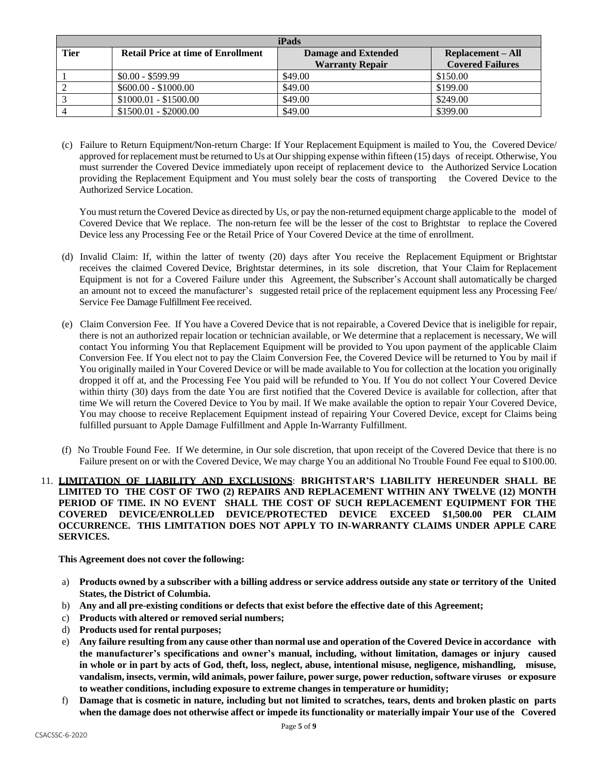| iPads       |                                           |                            |                          |
|-------------|-------------------------------------------|----------------------------|--------------------------|
| <b>Tier</b> | <b>Retail Price at time of Enrollment</b> | <b>Damage and Extended</b> | <b>Replacement – All</b> |
|             |                                           | <b>Warranty Repair</b>     | <b>Covered Failures</b>  |
|             | $$0.00 - $599.99$                         | \$49.00                    | \$150.00                 |
|             | $$600.00 - $1000.00$                      | \$49.00                    | \$199.00                 |
|             | $$1000.01 - $1500.00$                     | \$49.00                    | \$249.00                 |
|             | $$1500.01 - $2000.00$                     | \$49.00                    | \$399.00                 |

(c) Failure to Return Equipment/Non-return Charge: If Your Replacement Equipment is mailed to You, the Covered Device/ approved for replacement must be returned to Us at Our shipping expense within fifteen (15) days of receipt. Otherwise, You must surrender the Covered Device immediately upon receipt of replacement device to the Authorized Service Location providing the Replacement Equipment and You must solely bear the costs of transporting the Covered Device to the Authorized Service Location.

You must return the Covered Device as directed by Us, or pay the non-returned equipment charge applicable to the model of Covered Device that We replace. The non-return fee will be the lesser of the cost to Brightstar to replace the Covered Device less any Processing Fee or the Retail Price of Your Covered Device at the time of enrollment.

- (d) Invalid Claim: If, within the latter of twenty (20) days after You receive the Replacement Equipment or Brightstar receives the claimed Covered Device, Brightstar determines, in its sole discretion, that Your Claim for Replacement Equipment is not for a Covered Failure under this Agreement, the Subscriber's Account shall automatically be charged an amount not to exceed the manufacturer's suggested retail price of the replacement equipment less any Processing Fee/ Service Fee Damage Fulfillment Fee received.
- (e) Claim Conversion Fee. If You have a Covered Device that is not repairable, a Covered Device that is ineligible for repair, there is not an authorized repair location or technician available, or We determine that a replacement is necessary, We will contact You informing You that Replacement Equipment will be provided to You upon payment of the applicable Claim Conversion Fee. If You elect not to pay the Claim Conversion Fee, the Covered Device will be returned to You by mail if You originally mailed in Your Covered Device or will be made available to You for collection at the location you originally dropped it off at, and the Processing Fee You paid will be refunded to You. If You do not collect Your Covered Device within thirty (30) days from the date You are first notified that the Covered Device is available for collection, after that time We will return the Covered Device to You by mail. If We make available the option to repair Your Covered Device, You may choose to receive Replacement Equipment instead of repairing Your Covered Device, except for Claims being fulfilled pursuant to Apple Damage Fulfillment and Apple In-Warranty Fulfillment.
- (f) No Trouble Found Fee. If We determine, in Our sole discretion, that upon receipt of the Covered Device that there is no Failure present on or with the Covered Device, We may charge You an additional No Trouble Found Fee equal to \$100.00.
- 11. **LIMITATION OF LIABILITY AND EXCLUSIONS**: **BRIGHTSTAR'S LIABILITY HEREUNDER SHALL BE LIMITED TO THE COST OF TWO (2) REPAIRS AND REPLACEMENT WITHIN ANY TWELVE (12) MONTH PERIOD OF TIME. IN NO EVENT SHALL THE COST OF SUCH REPLACEMENT EQUIPMENT FOR THE COVERED DEVICE/ENROLLED DEVICE/PROTECTED DEVICE EXCEED \$1,500.00 PER CLAIM OCCURRENCE. THIS LIMITATION DOES NOT APPLY TO IN-WARRANTY CLAIMS UNDER APPLE CARE SERVICES.**

**This Agreement does not cover the following:**

- a) Products owned by a subscriber with a billing address or service address outside any state or territory of the United **States, the District of Columbia.**
- b) **Any and all pre-existing conditions or defects that exist before the effective date of this Agreement;**
- c) **Products with altered or removed serial numbers;**
- d) **Products used for rental purposes;**
- e) Any failure resulting from any cause other than normal use and operation of the Covered Device in accordance with **the manufacturer's specifications and owner's manual, including, without limitation, damages or injury caused** in whole or in part by acts of God, theft, loss, neglect, abuse, intentional misuse, negligence, mishandling, misuse, **vandalism, insects, vermin, wild animals, power failure, power surge, power reduction, software viruses or exposure to weather conditions, including exposure to extreme changes in temperature or humidity;**
- f) Damage that is cosmetic in nature, including but not limited to scratches, tears, dents and broken plastic on parts when the damage does not otherwise affect or impede its functionality or materially impair Your use of the Covered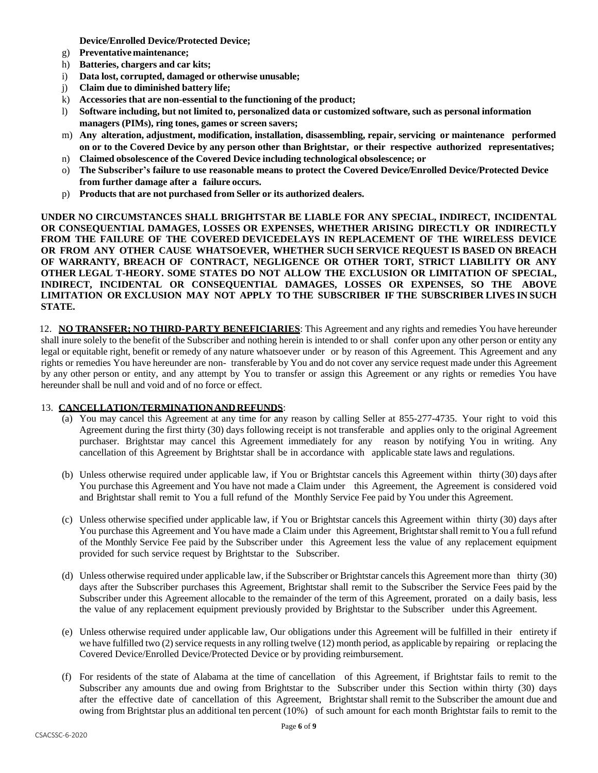**Device/Enrolled Device/Protected Device;**

- g) **Preventative maintenance;**
- h) **Batteries, chargers and car kits;**
- i) **Data lost, corrupted, damaged or otherwise unusable;**
- j) **Claim due to diminished battery life;**
- k) **Accessories that are non-essential to the functioning of the product;**
- l) **Software including, but not limited to, personalized data or customized software, such as personal information managers (PIMs), ring tones, games or screen savers;**
- m) **Any alteration, adjustment, modification, installation, disassembling, repair, servicing or maintenance performed on or to the Covered Device by any person other than Brightstar, or their respective authorized representatives;**
- n) **Claimed obsolescence of the Covered Device including technological obsolescence; or**
- o) **The Subscriber's failure to use reasonable means to protect the Covered Device/Enrolled Device/Protected Device from further damage after a failure occurs.**
- p) **Products that are not purchased from Seller or its authorized dealers.**

**UNDER NO CIRCUMSTANCES SHALL BRIGHTSTAR BE LIABLE FOR ANY SPECIAL, INDIRECT, INCIDENTAL OR CONSEQUENTIAL DAMAGES, LOSSES OR EXPENSES, WHETHER ARISING DIRECTLY OR INDIRECTLY FROM THE FAILURE OF THE COVERED DEVICEDELAYS IN REPLACEMENT OF THE WIRELESS DEVICE OR FROM ANY OTHER CAUSE WHATSOEVER, WHETHER SUCH SERVICE REQUEST IS BASED ON BREACH OF WARRANTY, BREACH OF CONTRACT, NEGLIGENCE OR OTHER TORT, STRICT LIABILITY OR ANY OTHER LEGAL T-HEORY. SOME STATES DO NOT ALLOW THE EXCLUSION OR LIMITATION OF SPECIAL, INDIRECT, INCIDENTAL OR CONSEQUENTIAL DAMAGES, LOSSES OR EXPENSES, SO THE ABOVE LIMITATION OR EXCLUSION MAY NOT APPLY TO THE SUBSCRIBER IF THE SUBSCRIBER LIVES IN SUCH STATE.**

12. **NO TRANSFER; NO THIRD-PARTY BENEFICIARIES**: This Agreement and any rights and remedies You have hereunder shall inure solely to the benefit of the Subscriber and nothing herein is intended to or shall confer upon any other person or entity any legal or equitable right, benefit or remedy of any nature whatsoever under or by reason of this Agreement. This Agreement and any rights or remedies You have hereunder are non- transferable by You and do not cover any service request made under this Agreement by any other person or entity, and any attempt by You to transfer or assign this Agreement or any rights or remedies You have hereunder shall be null and void and of no force or effect.

#### 13. **CANCELLATION/TERMINATIONANDREFUNDS**:

- (a) You may cancel this Agreement at any time for any reason by calling Seller at 855-277-4735. Your right to void this Agreement during the first thirty (30) days following receipt is not transferable and applies only to the original Agreement purchaser. Brightstar may cancel this Agreement immediately for any reason by notifying You in writing. Any cancellation of this Agreement by Brightstar shall be in accordance with applicable state laws and regulations.
- (b) Unless otherwise required under applicable law, if You or Brightstar cancels this Agreement within thirty (30) days after You purchase this Agreement and You have not made a Claim under this Agreement, the Agreement is considered void and Brightstar shall remit to You a full refund of the Monthly Service Fee paid by You under this Agreement.
- (c) Unless otherwise specified under applicable law, if You or Brightstar cancels this Agreement within thirty (30) days after You purchase this Agreement and You have made a Claim under this Agreement, Brightstarshall remit to You a full refund of the Monthly Service Fee paid by the Subscriber under this Agreement less the value of any replacement equipment provided for such service request by Brightstar to the Subscriber.
- (d) Unless otherwise required under applicable law, if the Subscriber or Brightstar cancels this Agreement more than thirty (30) days after the Subscriber purchases this Agreement, Brightstar shall remit to the Subscriber the Service Fees paid by the Subscriber under this Agreement allocable to the remainder of the term of this Agreement, prorated on a daily basis, less the value of any replacement equipment previously provided by Brightstar to the Subscriber under this Agreement.
- (e) Unless otherwise required under applicable law, Our obligations under this Agreement will be fulfilled in their entirety if we have fulfilled two (2) service requests in any rolling twelve (12) month period, as applicable by repairing or replacing the Covered Device/Enrolled Device/Protected Device or by providing reimbursement.
- (f) For residents of the state of Alabama at the time of cancellation of this Agreement, if Brightstar fails to remit to the Subscriber any amounts due and owing from Brightstar to the Subscriber under this Section within thirty (30) days after the effective date of cancellation of this Agreement, Brightstar shall remit to the Subscriber the amount due and owing from Brightstar plus an additional ten percent (10%) of such amount for each month Brightstar fails to remit to the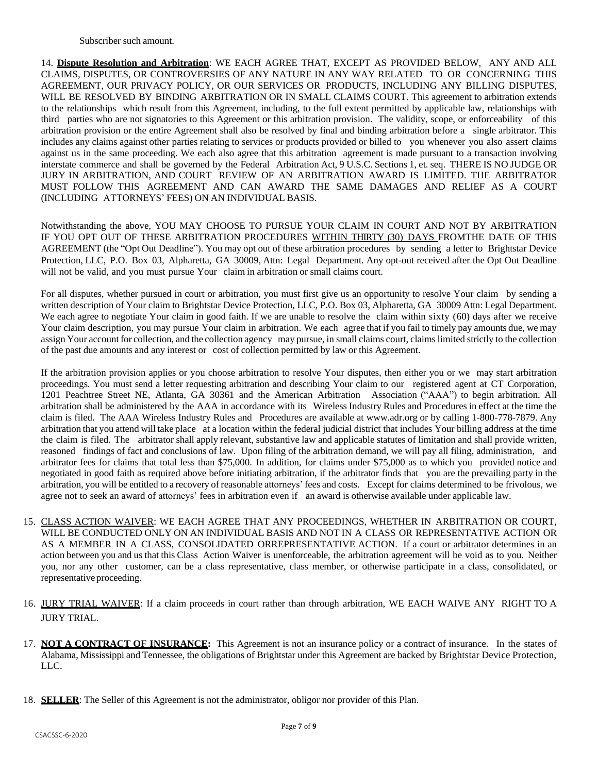14. **Dispute Resolution and Arbitration**: WE EACH AGREE THAT, EXCEPT AS PROVIDED BELOW, ANY AND ALL CLAIMS, DISPUTES, OR CONTROVERSIES OF ANY NATURE IN ANY WAY RELATED TO OR CONCERNING THIS AGREEMENT, OUR PRIVACY POLICY, OR OUR SERVICES OR PRODUCTS, INCLUDING ANY BILLING DISPUTES, WILL BE RESOLVED BY BINDING ARBITRATION OR IN SMALL CLAIMS COURT. This agreement to arbitration extends to the relationships which result from this Agreement, including, to the full extent permitted by applicable law, relationships with third parties who are not signatories to this Agreement or this arbitration provision. The validity, scope, or enforceability of this arbitration provision or the entire Agreement shall also be resolved by final and binding arbitration before a single arbitrator. This includes any claims against other parties relating to services or products provided or billed to you whenever you also assert claims against us in the same proceeding. We each also agree that this arbitration agreement is made pursuant to a transaction involving interstate commerce and shall be governed by the Federal Arbitration Act, 9 U.S.C. Sections 1, et. seq. THERE IS NO JUDGE OR JURY IN ARBITRATION, AND COURT REVIEW OF AN ARBITRATION AWARD IS LIMITED. THE ARBITRATOR MUST FOLLOW THIS AGREEMENT AND CAN AWARD THE SAME DAMAGES AND RELIEF AS A COURT (INCLUDING ATTORNEYS' FEES) ON AN INDIVIDUAL BASIS.

Notwithstanding the above, YOU MAY CHOOSE TO PURSUE YOUR CLAIM IN COURT AND NOT BY ARBITRATION IF YOU OPT OUT OF THESE ARBITRATION PROCEDURES WITHIN THIRTY (30) DAYS FROMTHE DATE OF THIS AGREEMENT (the "Opt Out Deadline"). You may opt out of these arbitration procedures by sending a letter to Brightstar Device Protection, LLC, P.O. Box 03, Alpharetta, GA 30009, Attn: Legal Department. Any opt-out received after the Opt Out Deadline will not be valid, and you must pursue Your claim in arbitration or small claims court.

For all disputes, whether pursued in court or arbitration, you must first give us an opportunity to resolve Your claim by sending a written description of Your claim to Brightstar Device Protection, LLC, P.O. Box 03, Alpharetta, GA 30009 Attn: Legal Department. We each agree to negotiate Your claim in good faith. If we are unable to resolve the claim within sixty (60) days after we receive Your claim description, you may pursue Your claim in arbitration. We each agree that if you fail to timely pay amounts due, we may assign Your account for collection, and the collection agency may pursue, in small claims court, claimslimited strictly to the collection of the past due amounts and any interest or cost of collection permitted by law or this Agreement.

If the arbitration provision applies or you choose arbitration to resolve Your disputes, then either you or we may start arbitration proceedings. You must send a letter requesting arbitration and describing Your claim to our registered agent at CT Corporation, 1201 Peachtree Street NE, Atlanta, GA 30361 and the American Arbitration Association ("AAA") to begin arbitration. All arbitration shall be administered by the AAA in accordance with its Wireless Industry Rules and Procedures in effect at the time the claim is filed. The AAA Wireless Industry Rules and Procedures are available at [www.adr.org](http://www.adr.org/) or by calling 1-800-778-7879. Any arbitration that you attend will take place at a location within the federal judicial district that includes Your billing address at the time the claim is filed. The arbitrator shall apply relevant, substantive law and applicable statutes of limitation and shall provide written, reasoned findings of fact and conclusions of law. Upon filing of the arbitration demand, we will pay all filing, administration, and arbitrator fees for claims that total less than \$75,000. In addition, for claims under \$75,000 as to which you provided notice and negotiated in good faith as required above before initiating arbitration, if the arbitrator finds that you are the prevailing party in the arbitration, you will be entitled to a recovery of reasonable attorneys' fees and costs. Except for claims determined to be frivolous, we agree not to seek an award of attorneys' fees in arbitration even if an award is otherwise available under applicable law.

- 15. CLASS ACTION WAIVER: WE EACH AGREE THAT ANY PROCEEDINGS, WHETHER IN ARBITRATION OR COURT, WILL BE CONDUCTED ONLY ON AN INDIVIDUAL BASIS AND NOT IN A CLASS OR REPRESENTATIVE ACTION OR AS A MEMBER IN A CLASS, CONSOLIDATED ORREPRESENTATIVE ACTION. If a court or arbitrator determines in an action between you and us that this Class Action Waiver is unenforceable, the arbitration agreement will be void as to you. Neither you, nor any other customer, can be a class representative, class member, or otherwise participate in a class, consolidated, or representative proceeding.
- 16. JURY TRIAL WAIVER: If a claim proceeds in court rather than through arbitration, WE EACH WAIVE ANY RIGHT TO A JURY TRIAL.
- 17. **NOT A CONTRACT OF INSURANCE:** This Agreement is not an insurance policy or a contract of insurance. In the states of Alabama, Mississippi and Tennessee, the obligations of Brightstar under this Agreement are backed by Brightstar Device Protection, LLC.
- 18. **SELLER**: The Seller of this Agreement is not the administrator, obligor nor provider of this Plan.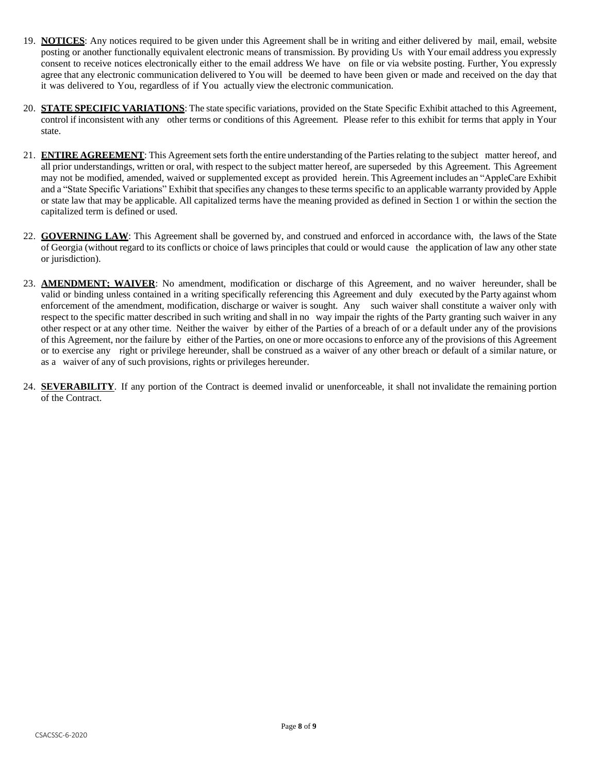- 19. **NOTICES**: Any notices required to be given under this Agreement shall be in writing and either delivered by mail, email, website posting or another functionally equivalent electronic means of transmission. By providing Us with Your email address you expressly consent to receive notices electronically either to the email address We have on file or via website posting. Further, You expressly agree that any electronic communication delivered to You will be deemed to have been given or made and received on the day that it was delivered to You, regardless of if You actually view the electronic communication.
- 20. **STATE SPECIFIC VARIATIONS**: The state specific variations, provided on the State Specific Exhibit attached to this Agreement, control if inconsistent with any other terms or conditions of this Agreement. Please refer to this exhibit for terms that apply in Your state.
- 21. **ENTIRE AGREEMENT**: This Agreementsetsforth the entire understanding of the Partiesrelating to the subject matter hereof, and all prior understandings, written or oral, with respect to the subject matter hereof, are superseded by this Agreement. This Agreement may not be modified, amended, waived or supplemented except as provided herein. This Agreement includes an "AppleCare Exhibit and a "State Specific Variations" Exhibit that specifies any changes to these terms specific to an applicable warranty provided by Apple or state law that may be applicable. All capitalized terms have the meaning provided as defined in Section 1 or within the section the capitalized term is defined or used.
- 22. **GOVERNING LAW**: This Agreement shall be governed by, and construed and enforced in accordance with, the laws of the State of Georgia (without regard to its conflicts or choice of laws principles that could or would cause the application of law any other state or jurisdiction).
- 23. **AMENDMENT; WAIVER**: No amendment, modification or discharge of this Agreement, and no waiver hereunder, shall be valid or binding unless contained in a writing specifically referencing this Agreement and duly executed by the Party against whom enforcement of the amendment, modification, discharge or waiver is sought. Any such waiver shall constitute a waiver only with respect to the specific matter described in such writing and shall in no way impair the rights of the Party granting such waiver in any other respect or at any other time. Neither the waiver by either of the Parties of a breach of or a default under any of the provisions of this Agreement, nor the failure by either of the Parties, on one or more occasions to enforce any of the provisions of this Agreement or to exercise any right or privilege hereunder, shall be construed as a waiver of any other breach or default of a similar nature, or as a waiver of any of such provisions, rights or privileges hereunder.
- 24. **SEVERABILITY**. If any portion of the Contract is deemed invalid or unenforceable, it shall not invalidate the remaining portion of the Contract.